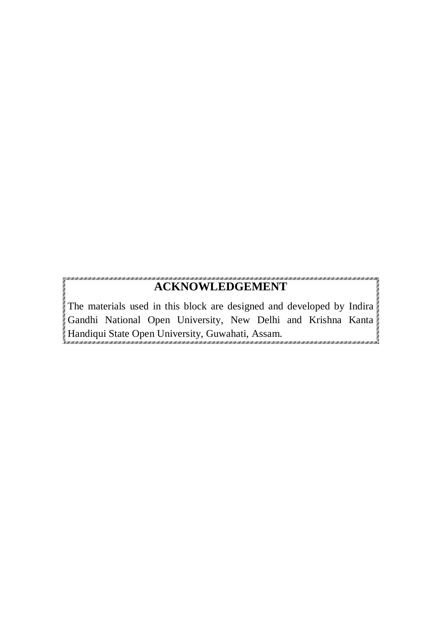# **ACKNOWLEDGEMENT**

The materials used in this block are designed and developed by Indira Gandhi National Open University, New Delhi and Krishna Kanta Handiqui State Open University, Guwahati, Assam.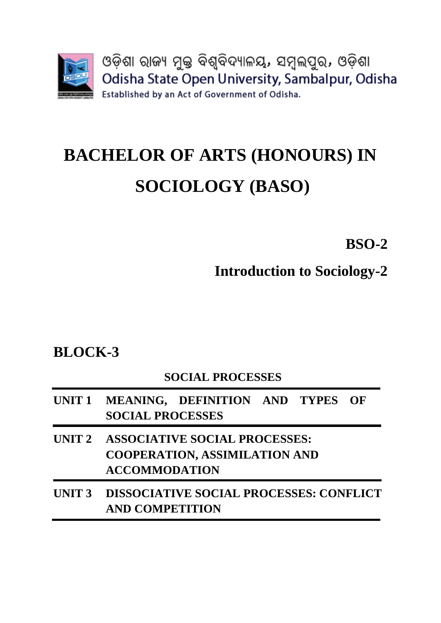

# **BACHELOR OF ARTS (HONOURS) IN SOCIOLOGY (BASO)**

**BSO-2**

**Introduction to Sociology-2** 

# **BLOCK-3**

# **SOCIAL PROCESSES**

- **UNIT 1 MEANING, DEFINITION AND TYPES OF SOCIAL PROCESSES**
- **UNIT 2 ASSOCIATIVE SOCIAL PROCESSES: COOPERATION, ASSIMILATION AND ACCOMMODATION**
- **UNIT 3 DISSOCIATIVE SOCIAL PROCESSES: CONFLICT AND COMPETITION**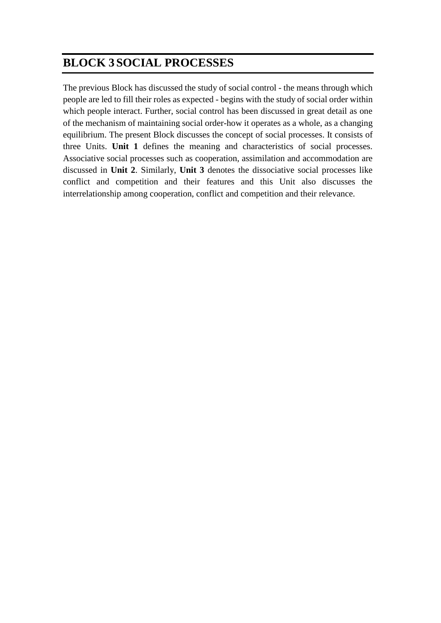# **BLOCK 3 SOCIAL PROCESSES**

The previous Block has discussed the study of social control - the means through which people are led to fill their roles as expected - begins with the study of social order within which people interact. Further, social control has been discussed in great detail as one of the mechanism of maintaining social order-how it operates as a whole, as a changing equilibrium. The present Block discusses the concept of social processes. It consists of three Units. **Unit 1** defines the meaning and characteristics of social processes. Associative social processes such as cooperation, assimilation and accommodation are discussed in **Unit 2**. Similarly, **Unit 3** denotes the dissociative social processes like conflict and competition and their features and this Unit also discusses the interrelationship among cooperation, conflict and competition and their relevance.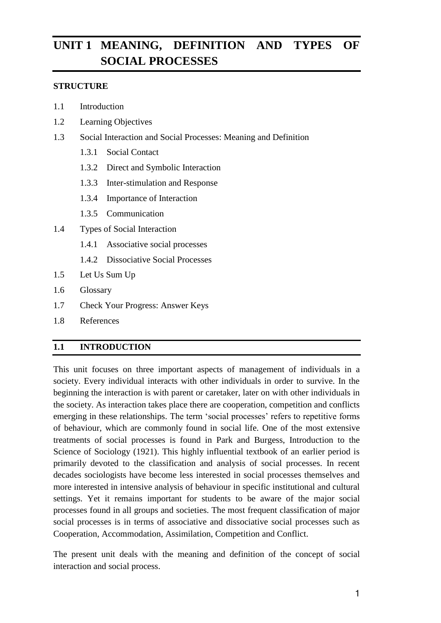# **UNIT 1 MEANING, DEFINITION AND TYPES OF SOCIAL PROCESSES**

#### **STRUCTURE**

- 1.1 Introduction
- 1.2 Learning Objectives
- 1.3 Social Interaction and Social Processes: Meaning and Definition
	- 1.3.1 Social Contact
	- 1.3.2 Direct and Symbolic Interaction
	- 1.3.3 Inter-stimulation and Response
	- 1.3.4 Importance of Interaction
	- 1.3.5 Communication
- 1.4 Types of Social Interaction
	- 1.4.1 Associative social processes
	- 1.4.2 Dissociative Social Processes
- 1.5 Let Us Sum Up
- 1.6 Glossary
- 1.7 Check Your Progress: Answer Keys
- 1.8 References

#### **1.1 INTRODUCTION**

This unit focuses on three important aspects of management of individuals in a society. Every individual interacts with other individuals in order to survive. In the beginning the interaction is with parent or caretaker, later on with other individuals in the society. As interaction takes place there are cooperation, competition and conflicts emerging in these relationships. The term 'social processes' refers to repetitive forms of behaviour, which are commonly found in social life. One of the most extensive treatments of social processes is found in Park and Burgess, Introduction to the Science of Sociology (1921). This highly influential textbook of an earlier period is primarily devoted to the classification and analysis of social processes. In recent decades sociologists have become less interested in social processes themselves and more interested in intensive analysis of behaviour in specific institutional and cultural settings. Yet it remains important for students to be aware of the major social processes found in all groups and societies. The most frequent classification of major social processes is in terms of associative and dissociative social processes such as Cooperation, Accommodation, Assimilation, Competition and Conflict.

The present unit deals with the meaning and definition of the concept of social interaction and social process.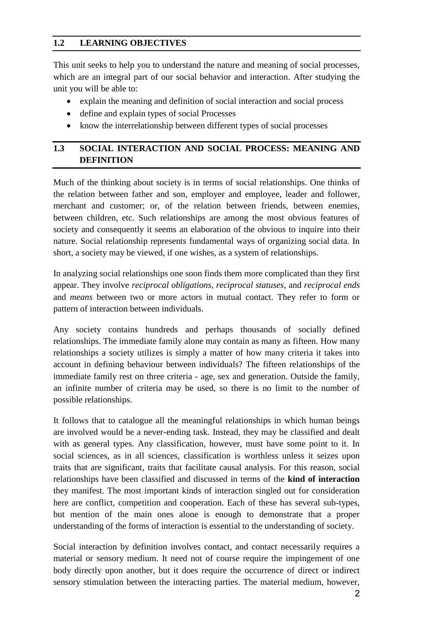#### **1.2 LEARNING OBJECTIVES**

This unit seeks to help you to understand the nature and meaning of social processes, which are an integral part of our social behavior and interaction. After studying the unit you will be able to:

- explain the meaning and definition of social interaction and social process
- define and explain types of social Processes
- know the interrelationship between different types of social processes

#### **1.3 SOCIAL INTERACTION AND SOCIAL PROCESS: MEANING AND DEFINITION**

Much of the thinking about society is in terms of social relationships. One thinks of the relation between father and son, employer and employee, leader and follower, merchant and customer; or, of the relation between friends, between enemies, between children, etc. Such relationships are among the most obvious features of society and consequently it seems an elaboration of the obvious to inquire into their nature. Social relationship represents fundamental ways of organizing social data. In short, a society may be viewed, if one wishes, as a system of relationships.

In analyzing social relationships one soon finds them more complicated than they first appear. They involve *reciprocal obligations, reciprocal statuses*, and *reciprocal ends* and *means* between two or more actors in mutual contact. They refer to form or pattern of interaction between individuals.

Any society contains hundreds and perhaps thousands of socially defined relationships. The immediate family alone may contain as many as fifteen. How many relationships a society utilizes is simply a matter of how many criteria it takes into account in defining behaviour between individuals? The fifteen relationships of the immediate family rest on three criteria - age, sex and generation. Outside the family, an infinite number of criteria may be used, so there is no limit to the number of possible relationships.

It follows that to catalogue all the meaningful relationships in which human beings are involved would be a never-ending task. Instead, they may be classified and dealt with as general types. Any classification, however, must have some point to it. In social sciences, as in all sciences, classification is worthless unless it seizes upon traits that are significant, traits that facilitate causal analysis. For this reason, social relationships have been classified and discussed in terms of the **kind of interaction** they manifest. The most important kinds of interaction singled out for consideration here are conflict, competition and cooperation. Each of these has several sub-types, but mention of the main ones alone is enough to demonstrate that a proper understanding of the forms of interaction is essential to the understanding of society.

Social interaction by definition involves contact, and contact necessarily requires a material or sensory medium. It need not of course require the impingement of one body directly upon another, but it does require the occurrence of direct or indirect sensory stimulation between the interacting parties. The material medium, however,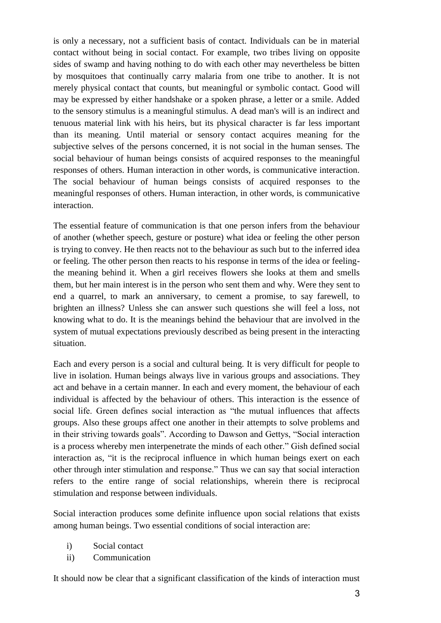is only a necessary, not a sufficient basis of contact. Individuals can be in material contact without being in social contact. For example, two tribes living on opposite sides of swamp and having nothing to do with each other may nevertheless be bitten by mosquitoes that continually carry malaria from one tribe to another. It is not merely physical contact that counts, but meaningful or symbolic contact. Good will may be expressed by either handshake or a spoken phrase, a letter or a smile. Added to the sensory stimulus is a meaningful stimulus. A dead man's will is an indirect and tenuous material link with his heirs, but its physical character is far less important than its meaning. Until material or sensory contact acquires meaning for the subjective selves of the persons concerned, it is not social in the human senses. The social behaviour of human beings consists of acquired responses to the meaningful responses of others. Human interaction in other words, is communicative interaction. The social behaviour of human beings consists of acquired responses to the meaningful responses of others. Human interaction, in other words, is communicative interaction.

The essential feature of communication is that one person infers from the behaviour of another (whether speech, gesture or posture) what idea or feeling the other person is trying to convey. He then reacts not to the behaviour as such but to the inferred idea or feeling. The other person then reacts to his response in terms of the idea or feelingthe meaning behind it. When a girl receives flowers she looks at them and smells them, but her main interest is in the person who sent them and why. Were they sent to end a quarrel, to mark an anniversary, to cement a promise, to say farewell, to brighten an illness? Unless she can answer such questions she will feel a loss, not knowing what to do. It is the meanings behind the behaviour that are involved in the system of mutual expectations previously described as being present in the interacting situation.

Each and every person is a social and cultural being. It is very difficult for people to live in isolation. Human beings always live in various groups and associations. They act and behave in a certain manner. In each and every moment, the behaviour of each individual is affected by the behaviour of others. This interaction is the essence of social life. Green defines social interaction as "the mutual influences that affects groups. Also these groups affect one another in their attempts to solve problems and in their striving towards goals". According to Dawson and Gettys, "Social interaction is a process whereby men interpenetrate the minds of each other." Gish defined social interaction as, "it is the reciprocal influence in which human beings exert on each other through inter stimulation and response." Thus we can say that social interaction refers to the entire range of social relationships, wherein there is reciprocal stimulation and response between individuals.

Social interaction produces some definite influence upon social relations that exists among human beings. Two essential conditions of social interaction are:

- i) Social contact
- ii) Communication

It should now be clear that a significant classification of the kinds of interaction must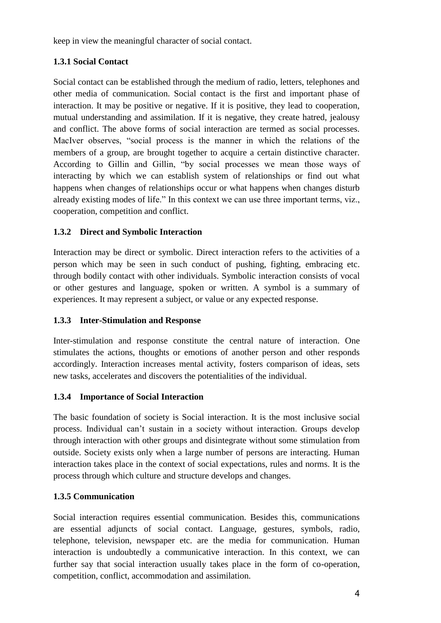keep in view the meaningful character of social contact.

#### **1.3.1 Social Contact**

Social contact can be established through the medium of radio, letters, telephones and other media of communication. Social contact is the first and important phase of interaction. It may be positive or negative. If it is positive, they lead to cooperation, mutual understanding and assimilation. If it is negative, they create hatred, jealousy and conflict. The above forms of social interaction are termed as social processes. MacIver observes, "social process is the manner in which the relations of the members of a group, are brought together to acquire a certain distinctive character. According to Gillin and Gillin, "by social processes we mean those ways of interacting by which we can establish system of relationships or find out what happens when changes of relationships occur or what happens when changes disturb already existing modes of life." In this context we can use three important terms, viz., cooperation, competition and conflict.

#### **1.3.2 Direct and Symbolic Interaction**

Interaction may be direct or symbolic. Direct interaction refers to the activities of a person which may be seen in such conduct of pushing, fighting, embracing etc. through bodily contact with other individuals. Symbolic interaction consists of vocal or other gestures and language, spoken or written. A symbol is a summary of experiences. It may represent a subject, or value or any expected response.

#### **1.3.3 Inter-Stimulation and Response**

Inter-stimulation and response constitute the central nature of interaction. One stimulates the actions, thoughts or emotions of another person and other responds accordingly. Interaction increases mental activity, fosters comparison of ideas, sets new tasks, accelerates and discovers the potentialities of the individual.

#### **1.3.4 Importance of Social Interaction**

The basic foundation of society is Social interaction. It is the most inclusive social process. Individual can't sustain in a society without interaction. Groups develop through interaction with other groups and disintegrate without some stimulation from outside. Society exists only when a large number of persons are interacting. Human interaction takes place in the context of social expectations, rules and norms. It is the process through which culture and structure develops and changes.

#### **1.3.5 Communication**

Social interaction requires essential communication. Besides this, communications are essential adjuncts of social contact. Language, gestures, symbols, radio, telephone, television, newspaper etc. are the media for communication. Human interaction is undoubtedly a communicative interaction. In this context, we can further say that social interaction usually takes place in the form of co-operation, competition, conflict, accommodation and assimilation.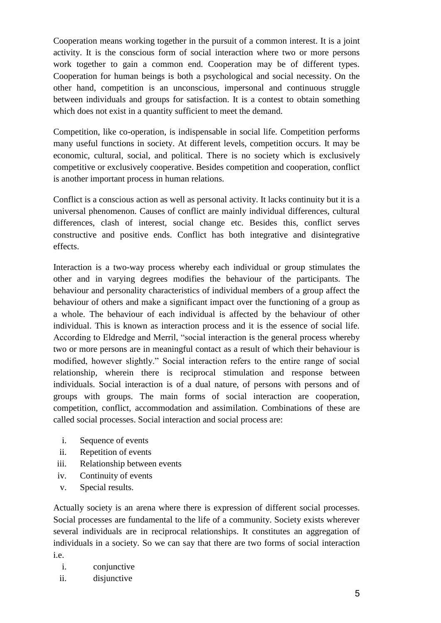Cooperation means working together in the pursuit of a common interest. It is a joint activity. It is the conscious form of social interaction where two or more persons work together to gain a common end. Cooperation may be of different types. Cooperation for human beings is both a psychological and social necessity. On the other hand, competition is an unconscious, impersonal and continuous struggle between individuals and groups for satisfaction. It is a contest to obtain something which does not exist in a quantity sufficient to meet the demand.

Competition, like co-operation, is indispensable in social life. Competition performs many useful functions in society. At different levels, competition occurs. It may be economic, cultural, social, and political. There is no society which is exclusively competitive or exclusively cooperative. Besides competition and cooperation, conflict is another important process in human relations.

Conflict is a conscious action as well as personal activity. It lacks continuity but it is a universal phenomenon. Causes of conflict are mainly individual differences, cultural differences, clash of interest, social change etc. Besides this, conflict serves constructive and positive ends. Conflict has both integrative and disintegrative effects.

Interaction is a two-way process whereby each individual or group stimulates the other and in varying degrees modifies the behaviour of the participants. The behaviour and personality characteristics of individual members of a group affect the behaviour of others and make a significant impact over the functioning of a group as a whole. The behaviour of each individual is affected by the behaviour of other individual. This is known as interaction process and it is the essence of social life. According to Eldredge and Merril, "social interaction is the general process whereby two or more persons are in meaningful contact as a result of which their behaviour is modified, however slightly." Social interaction refers to the entire range of social relationship, wherein there is reciprocal stimulation and response between individuals. Social interaction is of a dual nature, of persons with persons and of groups with groups. The main forms of social interaction are cooperation, competition, conflict, accommodation and assimilation. Combinations of these are called social processes. Social interaction and social process are:

- i. Sequence of events
- ii. Repetition of events
- iii. Relationship between events
- iv. Continuity of events
- v. Special results.

Actually society is an arena where there is expression of different social processes. Social processes are fundamental to the life of a community. Society exists wherever several individuals are in reciprocal relationships. It constitutes an aggregation of individuals in a society. So we can say that there are two forms of social interaction i.e.

- i. conjunctive
- ii. disjunctive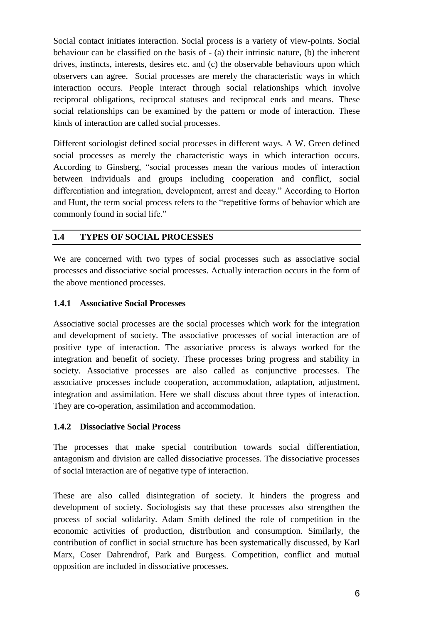Social contact initiates interaction. Social process is a variety of view-points. Social behaviour can be classified on the basis of - (a) their intrinsic nature, (b) the inherent drives, instincts, interests, desires etc. and (c) the observable behaviours upon which observers can agree. Social processes are merely the characteristic ways in which interaction occurs. People interact through social relationships which involve reciprocal obligations, reciprocal statuses and reciprocal ends and means. These social relationships can be examined by the pattern or mode of interaction. These kinds of interaction are called social processes.

Different sociologist defined social processes in different ways. A W. Green defined social processes as merely the characteristic ways in which interaction occurs. According to Ginsberg, "social processes mean the various modes of interaction between individuals and groups including cooperation and conflict, social differentiation and integration, development, arrest and decay." According to Horton and Hunt, the term social process refers to the "repetitive forms of behavior which are commonly found in social life."

#### **1.4 TYPES OF SOCIAL PROCESSES**

We are concerned with two types of social processes such as associative social processes and dissociative social processes. Actually interaction occurs in the form of the above mentioned processes.

#### **1.4.1 Associative Social Processes**

Associative social processes are the social processes which work for the integration and development of society. The associative processes of social interaction are of positive type of interaction. The associative process is always worked for the integration and benefit of society. These processes bring progress and stability in society. Associative processes are also called as conjunctive processes. The associative processes include cooperation, accommodation, adaptation, adjustment, integration and assimilation. Here we shall discuss about three types of interaction. They are co-operation, assimilation and accommodation.

#### **1.4.2 Dissociative Social Process**

The processes that make special contribution towards social differentiation, antagonism and division are called dissociative processes. The dissociative processes of social interaction are of negative type of interaction.

These are also called disintegration of society. It hinders the progress and development of society. Sociologists say that these processes also strengthen the process of social solidarity. Adam Smith defined the role of competition in the economic activities of production, distribution and consumption. Similarly, the contribution of conflict in social structure has been systematically discussed, by Karl Marx, Coser Dahrendrof, Park and Burgess. Competition, conflict and mutual opposition are included in dissociative processes.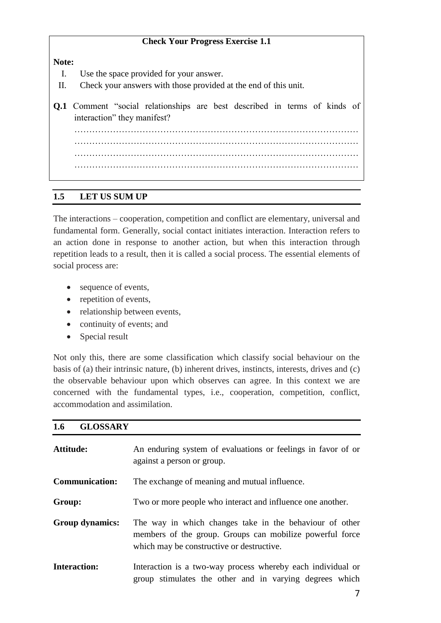#### **Check Your Progress Exercise 1.1**

**Note:**

- I. Use the space provided for your answer.
- II. Check your answers with those provided at the end of this unit.
- **Q.1** Comment "social relationships are best described in terms of kinds of interaction" they manifest? …………………………………………………………………………………… …………………………………………………………………………………… …………………………………………………………………………………… ……………………………………………………………………………………

#### **1.5 LET US SUM UP**

The interactions – cooperation, competition and conflict are elementary, universal and fundamental form. Generally, social contact initiates interaction. Interaction refers to an action done in response to another action, but when this interaction through repetition leads to a result, then it is called a social process. The essential elements of social process are:

- sequence of events,
- repetition of events,
- relationship between events,
- continuity of events; and
- Special result

Not only this, there are some classification which classify social behaviour on the basis of (a) their intrinsic nature, (b) inherent drives, instincts, interests, drives and (c) the observable behaviour upon which observes can agree. In this context we are concerned with the fundamental types, i.e., cooperation, competition, conflict, accommodation and assimilation.

#### **1.6 GLOSSARY**

| <b>Attitude:</b>       | An enduring system of evaluations or feelings in favor of or<br>against a person or group.                                                                       |
|------------------------|------------------------------------------------------------------------------------------------------------------------------------------------------------------|
| <b>Communication:</b>  | The exchange of meaning and mutual influence.                                                                                                                    |
| Group:                 | Two or more people who interact and influence one another.                                                                                                       |
| <b>Group dynamics:</b> | The way in which changes take in the behaviour of other<br>members of the group. Groups can mobilize powerful force<br>which may be constructive or destructive. |
| <b>Interaction:</b>    | Interaction is a two-way process whereby each individual or<br>group stimulates the other and in varying degrees which                                           |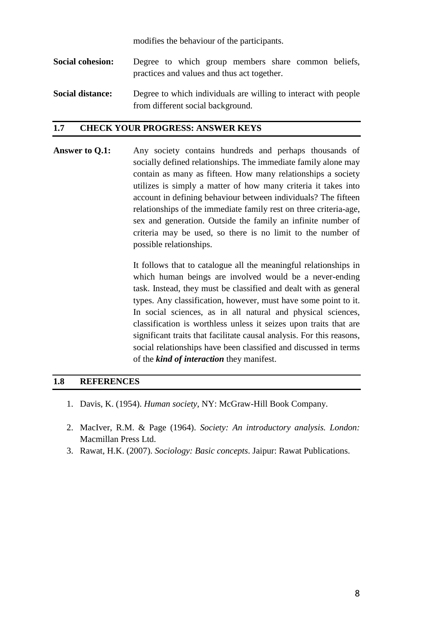modifies the behaviour of the participants.

- **Social cohesion:** Degree to which group members share common beliefs, practices and values and thus act together.
- **Social distance:** Degree to which individuals are willing to interact with people from different social background.

#### **1.7 CHECK YOUR PROGRESS: ANSWER KEYS**

**Answer to Q.1:** Any society contains hundreds and perhaps thousands of socially defined relationships. The immediate family alone may contain as many as fifteen. How many relationships a society utilizes is simply a matter of how many criteria it takes into account in defining behaviour between individuals? The fifteen relationships of the immediate family rest on three criteria-age, sex and generation. Outside the family an infinite number of criteria may be used, so there is no limit to the number of possible relationships.

> It follows that to catalogue all the meaningful relationships in which human beings are involved would be a never-ending task. Instead, they must be classified and dealt with as general types. Any classification, however, must have some point to it. In social sciences, as in all natural and physical sciences, classification is worthless unless it seizes upon traits that are significant traits that facilitate causal analysis. For this reasons, social relationships have been classified and discussed in terms of the *kind of interaction* they manifest.

#### **1.8 REFERENCES**

- 1. Davis, K. (1954). *Human society*, NY: McGraw-Hill Book Company.
- 2. MacIver, R.M. & Page (1964). *Society: An introductory analysis. London:*  Macmillan Press Ltd.
- 3. Rawat, H.K. (2007). *Sociology: Basic concepts*. Jaipur: Rawat Publications.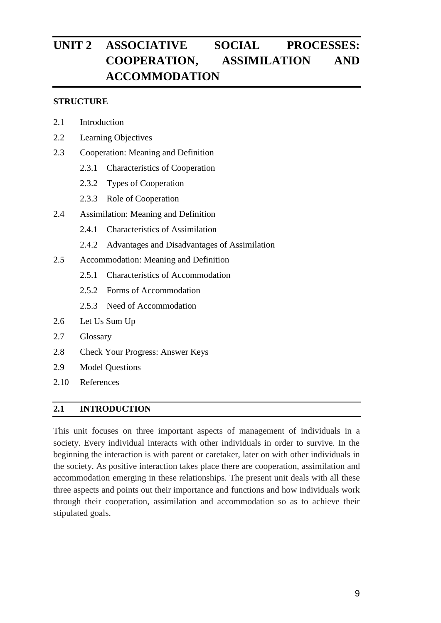# **UNIT 2 ASSOCIATIVE SOCIAL PROCESSES: COOPERATION, ASSIMILATION AND ACCOMMODATION**

#### **STRUCTURE**

- 2.1 Introduction
- 2.2 Learning Objectives
- 2.3 Cooperation: Meaning and Definition
	- 2.3.1 Characteristics of Cooperation
	- 2.3.2 Types of Cooperation
	- 2.3.3 Role of Cooperation
- 2.4 Assimilation: Meaning and Definition
	- 2.4.1 Characteristics of Assimilation
	- 2.4.2 Advantages and Disadvantages of Assimilation
- 2.5 Accommodation: Meaning and Definition
	- 2.5.1 Characteristics of Accommodation
	- 2.5.2 Forms of Accommodation
	- 2.5.3 Need of Accommodation
- 2.6 Let Us Sum Up
- 2.7 Glossary
- 2.8 Check Your Progress: Answer Keys
- 2.9 Model Questions
- 2.10 References

#### **2.1 INTRODUCTION**

This unit focuses on three important aspects of management of individuals in a society. Every individual interacts with other individuals in order to survive. In the beginning the interaction is with parent or caretaker, later on with other individuals in the society. As positive interaction takes place there are cooperation, assimilation and accommodation emerging in these relationships. The present unit deals with all these three aspects and points out their importance and functions and how individuals work through their cooperation, assimilation and accommodation so as to achieve their stipulated goals.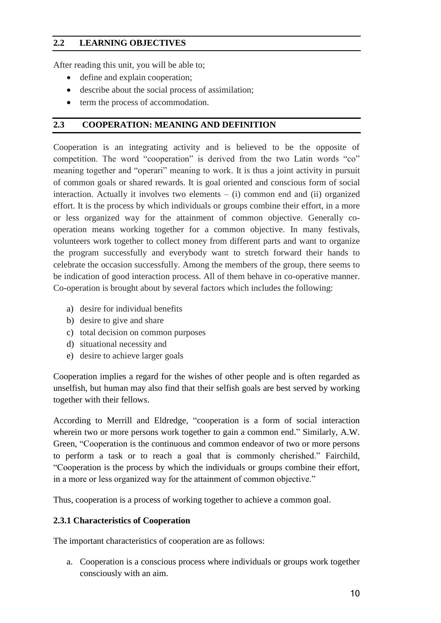#### **2.2 LEARNING OBJECTIVES**

After reading this unit, you will be able to;

- define and explain cooperation;
- describe about the social process of assimilation;
- term the process of accommodation.

#### **2.3 COOPERATION: MEANING AND DEFINITION**

Cooperation is an integrating activity and is believed to be the opposite of competition. The word "cooperation" is derived from the two Latin words "co" meaning together and "operari" meaning to work. It is thus a joint activity in pursuit of common goals or shared rewards. It is goal oriented and conscious form of social interaction. Actually it involves two elements  $-$  (i) common end and (ii) organized effort. It is the process by which individuals or groups combine their effort, in a more or less organized way for the attainment of common objective. Generally cooperation means working together for a common objective. In many festivals, volunteers work together to collect money from different parts and want to organize the program successfully and everybody want to stretch forward their hands to celebrate the occasion successfully. Among the members of the group, there seems to be indication of good interaction process. All of them behave in co-operative manner. Co-operation is brought about by several factors which includes the following:

- a) desire for individual benefits
- b) desire to give and share
- c) total decision on common purposes
- d) situational necessity and
- e) desire to achieve larger goals

Cooperation implies a regard for the wishes of other people and is often regarded as unselfish, but human may also find that their selfish goals are best served by working together with their fellows.

According to Merrill and Eldredge, "cooperation is a form of social interaction wherein two or more persons work together to gain a common end." Similarly, A.W. Green, "Cooperation is the continuous and common endeavor of two or more persons to perform a task or to reach a goal that is commonly cherished." Fairchild, "Cooperation is the process by which the individuals or groups combine their effort, in a more or less organized way for the attainment of common objective."

Thus, cooperation is a process of working together to achieve a common goal.

#### **2.3.1 Characteristics of Cooperation**

The important characteristics of cooperation are as follows:

a. Cooperation is a conscious process where individuals or groups work together consciously with an aim.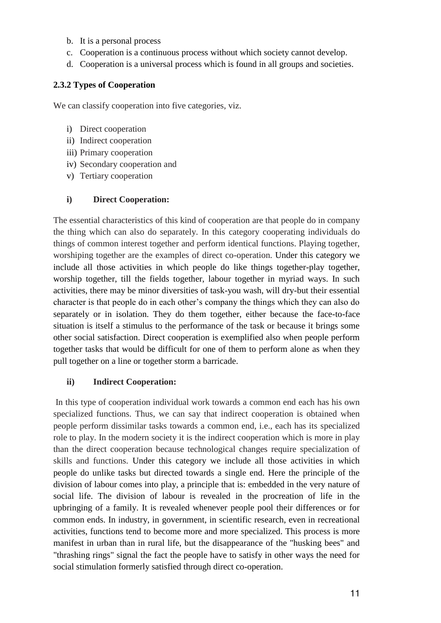- b. It is a personal process
- c. Cooperation is a continuous process without which society cannot develop.
- d. Cooperation is a universal process which is found in all groups and societies.

#### **2.3.2 Types of Cooperation**

We can classify cooperation into five categories, viz.

- i) Direct cooperation
- ii) Indirect cooperation
- iii) Primary cooperation
- iv) Secondary cooperation and
- v) Tertiary cooperation

#### **i) Direct Cooperation:**

The essential characteristics of this kind of cooperation are that people do in company the thing which can also do separately. In this category cooperating individuals do things of common interest together and perform identical functions. Playing together, worshiping together are the examples of direct co-operation. Under this category we include all those activities in which people do like things together-play together, worship together, till the fields together, labour together in myriad ways. In such activities, there may be minor diversities of task-you wash, will dry-but their essential character is that people do in each other's company the things which they can also do separately or in isolation. They do them together, either because the face-to-face situation is itself a stimulus to the performance of the task or because it brings some other social satisfaction. Direct cooperation is exemplified also when people perform together tasks that would be difficult for one of them to perform alone as when they pull together on a line or together storm a barricade.

#### **ii) Indirect Cooperation:**

In this type of cooperation individual work towards a common end each has his own specialized functions. Thus, we can say that indirect cooperation is obtained when people perform dissimilar tasks towards a common end, i.e., each has its specialized role to play. In the modern society it is the indirect cooperation which is more in play than the direct cooperation because technological changes require specialization of skills and functions. Under this category we include all those activities in which people do unlike tasks but directed towards a single end. Here the principle of the division of labour comes into play, a principle that is: embedded in the very nature of social life. The division of labour is revealed in the procreation of life in the upbringing of a family. It is revealed whenever people pool their differences or for common ends. In industry, in government, in scientific research, even in recreational activities, functions tend to become more and more specialized. This process is more manifest in urban than in rural life, but the disappearance of the "husking bees" and "thrashing rings" signal the fact the people have to satisfy in other ways the need for social stimulation formerly satisfied through direct co-operation.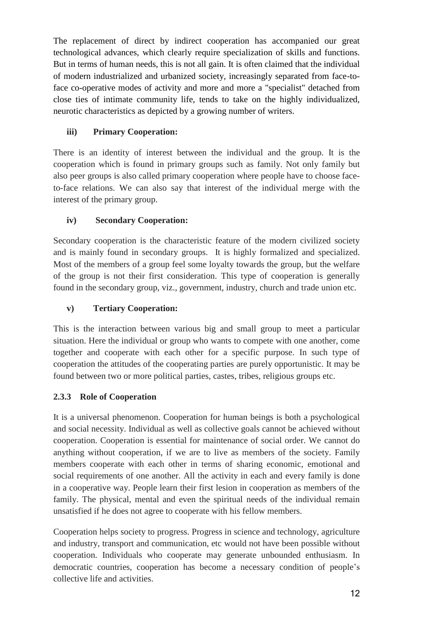The replacement of direct by indirect cooperation has accompanied our great technological advances, which clearly require specialization of skills and functions. But in terms of human needs, this is not all gain. It is often claimed that the individual of modern industrialized and urbanized society, increasingly separated from face-toface co-operative modes of activity and more and more a "specialist" detached from close ties of intimate community life, tends to take on the highly individualized, neurotic characteristics as depicted by a growing number of writers.

### **iii) Primary Cooperation:**

There is an identity of interest between the individual and the group. It is the cooperation which is found in primary groups such as family. Not only family but also peer groups is also called primary cooperation where people have to choose faceto-face relations. We can also say that interest of the individual merge with the interest of the primary group.

# **iv) Secondary Cooperation:**

Secondary cooperation is the characteristic feature of the modern civilized society and is mainly found in secondary groups. It is highly formalized and specialized. Most of the members of a group feel some loyalty towards the group, but the welfare of the group is not their first consideration. This type of cooperation is generally found in the secondary group, viz., government, industry, church and trade union etc.

### **v) Tertiary Cooperation:**

This is the interaction between various big and small group to meet a particular situation. Here the individual or group who wants to compete with one another, come together and cooperate with each other for a specific purpose. In such type of cooperation the attitudes of the cooperating parties are purely opportunistic. It may be found between two or more political parties, castes, tribes, religious groups etc.

# **2.3.3 Role of Cooperation**

It is a universal phenomenon. Cooperation for human beings is both a psychological and social necessity. Individual as well as collective goals cannot be achieved without cooperation. Cooperation is essential for maintenance of social order. We cannot do anything without cooperation, if we are to live as members of the society. Family members cooperate with each other in terms of sharing economic, emotional and social requirements of one another. All the activity in each and every family is done in a cooperative way. People learn their first lesion in cooperation as members of the family. The physical, mental and even the spiritual needs of the individual remain unsatisfied if he does not agree to cooperate with his fellow members.

Cooperation helps society to progress. Progress in science and technology, agriculture and industry, transport and communication, etc would not have been possible without cooperation. Individuals who cooperate may generate unbounded enthusiasm. In democratic countries, cooperation has become a necessary condition of people's collective life and activities.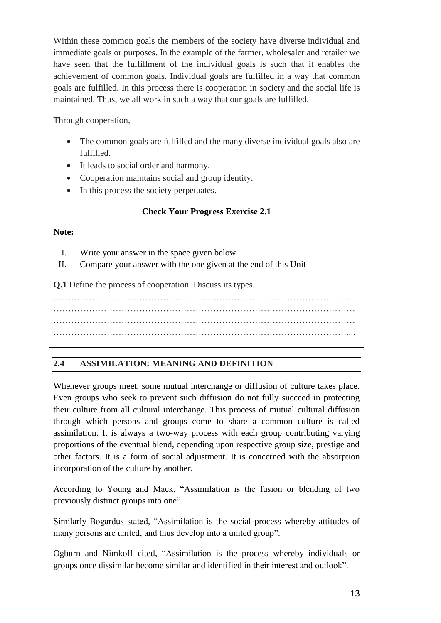Within these common goals the members of the society have diverse individual and immediate goals or purposes. In the example of the farmer, wholesaler and retailer we have seen that the fulfillment of the individual goals is such that it enables the achievement of common goals. Individual goals are fulfilled in a way that common goals are fulfilled. In this process there is cooperation in society and the social life is maintained. Thus, we all work in such a way that our goals are fulfilled.

Through cooperation,

- The common goals are fulfilled and the many diverse individual goals also are fulfilled.
- It leads to social order and harmony.
- Cooperation maintains social and group identity.
- In this process the society perpetuates.

#### **Check Your Progress Exercise 2.1**

#### **Note:**

- I. Write your answer in the space given below.
- II. Compare your answer with the one given at the end of this Unit

**Q.1** Define the process of cooperation. Discuss its types.

………………………………………………………………………………………… ………………………………………………………………………………………… ………………………………………………………………………………………… ………………………………………………………………………………………....

#### **2.4 ASSIMILATION: MEANING AND DEFINITION**

Whenever groups meet, some mutual interchange or diffusion of culture takes place. Even groups who seek to prevent such diffusion do not fully succeed in protecting their culture from all cultural interchange. This process of mutual cultural diffusion through which persons and groups come to share a common culture is called assimilation. It is always a two-way process with each group contributing varying proportions of the eventual blend, depending upon respective group size, prestige and other factors. It is a form of social adjustment. It is concerned with the absorption incorporation of the culture by another.

According to Young and Mack, "Assimilation is the fusion or blending of two previously distinct groups into one".

Similarly Bogardus stated, "Assimilation is the social process whereby attitudes of many persons are united, and thus develop into a united group".

Ogburn and Nimkoff cited, "Assimilation is the process whereby individuals or groups once dissimilar become similar and identified in their interest and outlook".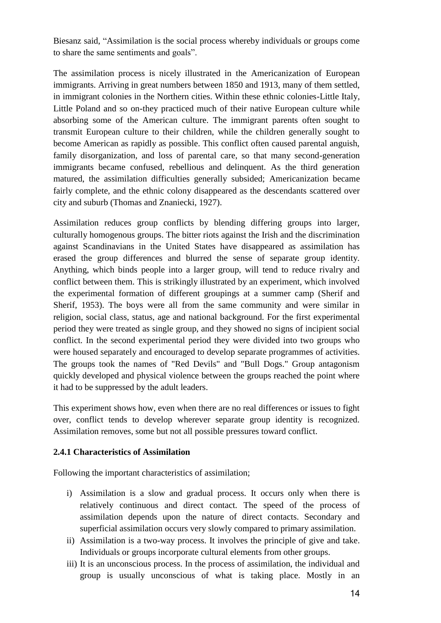Biesanz said, "Assimilation is the social process whereby individuals or groups come to share the same sentiments and goals".

The assimilation process is nicely illustrated in the Americanization of European immigrants. Arriving in great numbers between 1850 and 1913, many of them settled, in immigrant colonies in the Northern cities. Within these ethnic colonies-Little Italy, Little Poland and so on-they practiced much of their native European culture while absorbing some of the American culture. The immigrant parents often sought to transmit European culture to their children, while the children generally sought to become American as rapidly as possible. This conflict often caused parental anguish, family disorganization, and loss of parental care, so that many second-generation immigrants became confused, rebellious and delinquent. As the third generation matured, the assimilation difficulties generally subsided; Americanization became fairly complete, and the ethnic colony disappeared as the descendants scattered over city and suburb (Thomas and Znaniecki, 1927).

Assimilation reduces group conflicts by blending differing groups into larger, culturally homogenous groups. The bitter riots against the Irish and the discrimination against Scandinavians in the United States have disappeared as assimilation has erased the group differences and blurred the sense of separate group identity. Anything, which binds people into a larger group, will tend to reduce rivalry and conflict between them. This is strikingly illustrated by an experiment, which involved the experimental formation of different groupings at a summer camp (Sherif and Sherif, 1953). The boys were all from the same community and were similar in religion, social class, status, age and national background. For the first experimental period they were treated as single group, and they showed no signs of incipient social conflict. In the second experimental period they were divided into two groups who were housed separately and encouraged to develop separate programmes of activities. The groups took the names of "Red Devils" and "Bull Dogs." Group antagonism quickly developed and physical violence between the groups reached the point where it had to be suppressed by the adult leaders.

This experiment shows how, even when there are no real differences or issues to fight over, conflict tends to develop wherever separate group identity is recognized. Assimilation removes, some but not all possible pressures toward conflict.

#### **2.4.1 Characteristics of Assimilation**

Following the important characteristics of assimilation;

- i) Assimilation is a slow and gradual process. It occurs only when there is relatively continuous and direct contact. The speed of the process of assimilation depends upon the nature of direct contacts. Secondary and superficial assimilation occurs very slowly compared to primary assimilation.
- ii) Assimilation is a two-way process. It involves the principle of give and take. Individuals or groups incorporate cultural elements from other groups.
- iii) It is an unconscious process. In the process of assimilation, the individual and group is usually unconscious of what is taking place. Mostly in an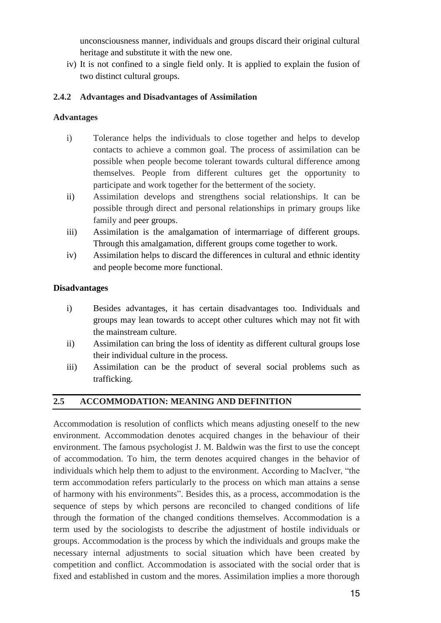unconsciousness manner, individuals and groups discard their original cultural heritage and substitute it with the new one.

iv) It is not confined to a single field only. It is applied to explain the fusion of two distinct cultural groups.

#### **2.4.2 Advantages and Disadvantages of Assimilation**

#### **Advantages**

- i) Tolerance helps the individuals to close together and helps to develop contacts to achieve a common goal. The process of assimilation can be possible when people become tolerant towards cultural difference among themselves. People from different cultures get the opportunity to participate and work together for the betterment of the society.
- ii) Assimilation develops and strengthens social relationships. It can be possible through direct and personal relationships in primary groups like family and peer groups.
- iii) Assimilation is the amalgamation of intermarriage of different groups. Through this amalgamation, different groups come together to work.
- iv) Assimilation helps to discard the differences in cultural and ethnic identity and people become more functional.

#### **Disadvantages**

- i) Besides advantages, it has certain disadvantages too. Individuals and groups may lean towards to accept other cultures which may not fit with the mainstream culture.
- ii) Assimilation can bring the loss of identity as different cultural groups lose their individual culture in the process.
- iii) Assimilation can be the product of several social problems such as trafficking.

#### **2.5 ACCOMMODATION: MEANING AND DEFINITION**

Accommodation is resolution of conflicts which means adjusting oneself to the new environment. Accommodation denotes acquired changes in the behaviour of their environment. The famous psychologist J. M. Baldwin was the first to use the concept of accommodation. To him, the term denotes acquired changes in the behavior of individuals which help them to adjust to the environment. According to MacIver, "the term accommodation refers particularly to the process on which man attains a sense of harmony with his environments". Besides this, as a process, accommodation is the sequence of steps by which persons are reconciled to changed conditions of life through the formation of the changed conditions themselves. Accommodation is a term used by the sociologists to describe the adjustment of hostile individuals or groups. Accommodation is the process by which the individuals and groups make the necessary internal adjustments to social situation which have been created by competition and conflict. Accommodation is associated with the social order that is fixed and established in custom and the mores. Assimilation implies a more thorough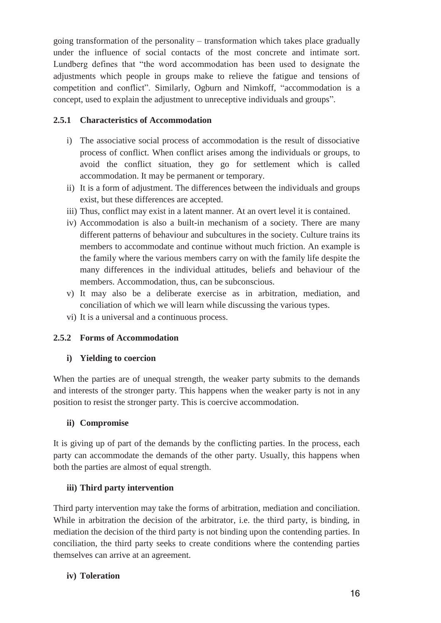going transformation of the personality – transformation which takes place gradually under the influence of social contacts of the most concrete and intimate sort. Lundberg defines that "the word accommodation has been used to designate the adjustments which people in groups make to relieve the fatigue and tensions of competition and conflict". Similarly, Ogburn and Nimkoff, "accommodation is a concept, used to explain the adjustment to unreceptive individuals and groups".

#### **2.5.1 Characteristics of Accommodation**

- i) The associative social process of accommodation is the result of dissociative process of conflict. When conflict arises among the individuals or groups, to avoid the conflict situation, they go for settlement which is called accommodation. It may be permanent or temporary.
- ii) It is a form of adjustment. The differences between the individuals and groups exist, but these differences are accepted.
- iii) Thus, conflict may exist in a latent manner. At an overt level it is contained.
- iv) Accommodation is also a built-in mechanism of a society. There are many different patterns of behaviour and subcultures in the society. Culture trains its members to accommodate and continue without much friction. An example is the family where the various members carry on with the family life despite the many differences in the individual attitudes, beliefs and behaviour of the members. Accommodation, thus, can be subconscious.
- v) It may also be a deliberate exercise as in arbitration, mediation, and conciliation of which we will learn while discussing the various types.
- vi) It is a universal and a continuous process.

#### **2.5.2 Forms of Accommodation**

#### **i) Yielding to coercion**

When the parties are of unequal strength, the weaker party submits to the demands and interests of the stronger party. This happens when the weaker party is not in any position to resist the stronger party. This is coercive accommodation.

#### **ii) Compromise**

It is giving up of part of the demands by the conflicting parties. In the process, each party can accommodate the demands of the other party. Usually, this happens when both the parties are almost of equal strength.

#### **iii) Third party intervention**

Third party intervention may take the forms of arbitration, mediation and conciliation. While in arbitration the decision of the arbitrator, i.e. the third party, is binding, in mediation the decision of the third party is not binding upon the contending parties. In conciliation, the third party seeks to create conditions where the contending parties themselves can arrive at an agreement.

#### **iv) Toleration**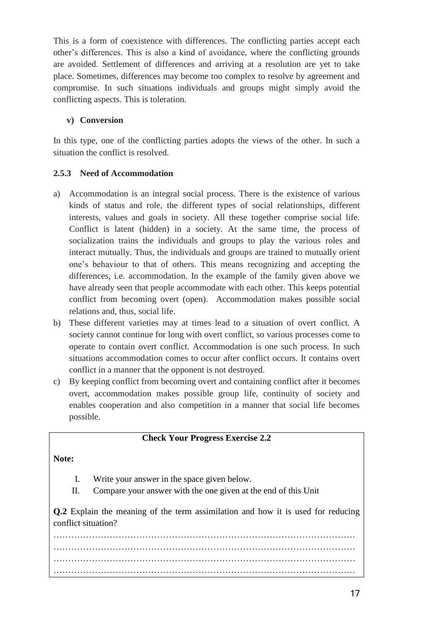This is a form of coexistence with differences. The conflicting parties accept each other's differences. This is also a kind of avoidance, where the conflicting grounds are avoided. Settlement of differences and arriving at a resolution are yet to take place. Sometimes, differences may become too complex to resolve by agreement and compromise. In such situations individuals and groups might simply avoid the conflicting aspects. This is toleration.

#### **v) Conversion**

In this type, one of the conflicting parties adopts the views of the other. In such a situation the conflict is resolved.

#### **2.5.3 Need of Accommodation**

- a) Accommodation is an integral social process. There is the existence of various kinds of status and role, the different types of social relationships, different interests, values and goals in society. All these together comprise social life. Conflict is latent (hidden) in a society. At the same time, the process of socialization trains the individuals and groups to play the various roles and interact mutually. Thus, the individuals and groups are trained to mutually orient one's behaviour to that of others. This means recognizing and accepting the differences, i.e. accommodation. In the example of the family given above we have already seen that people accommodate with each other. This keeps potential conflict from becoming overt (open). Accommodation makes possible social relations and, thus, social life.
- b) These different varieties may at times lead to a situation of overt conflict. A society cannot continue for long with overt conflict, so various processes come to operate to contain overt conflict. Accommodation is one such process. In such situations accommodation comes to occur after conflict occurs. It contains overt conflict in a manner that the opponent is not destroyed.
- c) By keeping conflict from becoming overt and containing conflict after it becomes overt, accommodation makes possible group life, continuity of society and enables cooperation and also competition in a manner that social life becomes possible.

#### **Check Your Progress Exercise 2.2**

#### **Note:**

- I. Write your answer in the space given below.
- II. Compare your answer with the one given at the end of this Unit

**Q.2** Explain the meaning of the term assimilation and how it is used for reducing conflict situation?

………………………………………………………………………………………… ………………………………………………………………………………………… ………………………………………………………………………………………… …………………………………………………………………………………………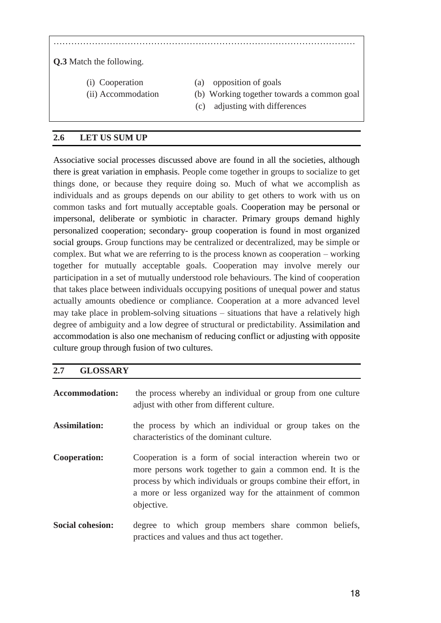………………………………………………………………………………………… **Q.3** Match the following. (i) Cooperation (a) opposition of goals (ii) Accommodation (b) Working together towards a common goal (c) adjusting with differences

#### **2.6 LET US SUM UP**

Associative social processes discussed above are found in all the societies, although there is great variation in emphasis. People come together in groups to socialize to get things done, or because they require doing so. Much of what we accomplish as individuals and as groups depends on our ability to get others to work with us on common tasks and fort mutually acceptable goals. Cooperation may be personal or impersonal, deliberate or symbiotic in character. Primary groups demand highly personalized cooperation; secondary- group cooperation is found in most organized social groups. Group functions may be centralized or decentralized, may be simple or complex. But what we are referring to is the process known as cooperation – working together for mutually acceptable goals. Cooperation may involve merely our participation in a set of mutually understood role behaviours. The kind of cooperation that takes place between individuals occupying positions of unequal power and status actually amounts obedience or compliance. Cooperation at a more advanced level may take place in problem-solving situations – situations that have a relatively high degree of ambiguity and a low degree of structural or predictability. Assimilation and accommodation is also one mechanism of reducing conflict or adjusting with opposite culture group through fusion of two cultures.

#### **2.7 GLOSSARY**

| <b>Accommodation:</b>   | the process whereby an individual or group from one culture<br>adjust with other from different culture.                                                                                                                                                               |
|-------------------------|------------------------------------------------------------------------------------------------------------------------------------------------------------------------------------------------------------------------------------------------------------------------|
| <b>Assimilation:</b>    | the process by which an individual or group takes on the<br>characteristics of the dominant culture.                                                                                                                                                                   |
| <b>Cooperation:</b>     | Cooperation is a form of social interaction wherein two or<br>more persons work together to gain a common end. It is the<br>process by which individuals or groups combine their effort, in<br>a more or less organized way for the attainment of common<br>objective. |
| <b>Social cohesion:</b> | degree to which group members share common beliefs,<br>practices and values and thus act together.                                                                                                                                                                     |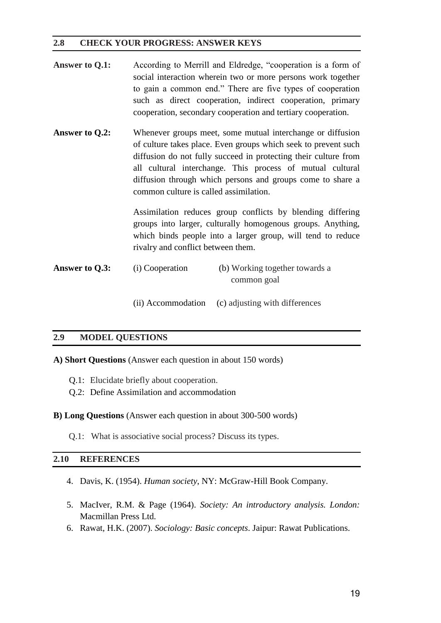#### **2.8 CHECK YOUR PROGRESS: ANSWER KEYS**

- Answer to Q.1: According to Merrill and Eldredge, "cooperation is a form of social interaction wherein two or more persons work together to gain a common end." There are five types of cooperation such as direct cooperation, indirect cooperation, primary cooperation, secondary cooperation and tertiary cooperation.
- Answer to Q.2: Whenever groups meet, some mutual interchange or diffusion of culture takes place. Even groups which seek to prevent such diffusion do not fully succeed in protecting their culture from all cultural interchange. This process of mutual cultural diffusion through which persons and groups come to share a common culture is called assimilation.

Assimilation reduces group conflicts by blending differing groups into larger, culturally homogenous groups. Anything, which binds people into a larger group, will tend to reduce rivalry and conflict between them.

**Answer to Q.3:** (i) Cooperation (b) Working together towards a common goal

(ii) Accommodation (c) adjusting with differences

#### **2.9 MODEL QUESTIONS**

**A) Short Questions** (Answer each question in about 150 words)

- Q.1: Elucidate briefly about cooperation.
- Q.2: Define Assimilation and accommodation
- **B) Long Questions** (Answer each question in about 300-500 words)
	- Q.1: What is associative social process? Discuss its types.

#### **2.10 REFERENCES**

- 4. Davis, K. (1954). *Human society*, NY: McGraw-Hill Book Company.
- 5. MacIver, R.M. & Page (1964). *Society: An introductory analysis. London:*  Macmillan Press Ltd.
- 6. Rawat, H.K. (2007). *Sociology: Basic concepts*. Jaipur: Rawat Publications.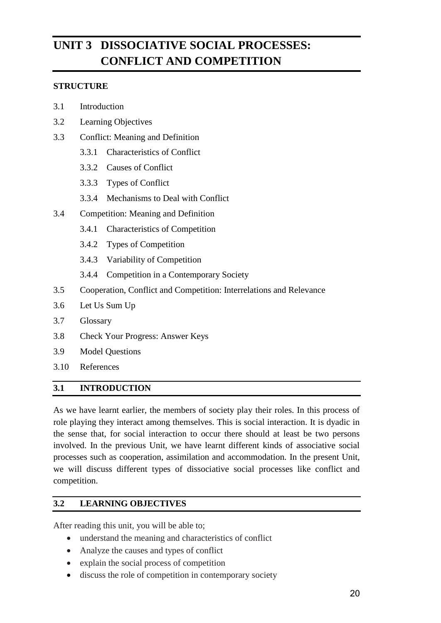# **UNIT 3 DISSOCIATIVE SOCIAL PROCESSES: CONFLICT AND COMPETITION**

#### **STRUCTURE**

- 3.1 Introduction
- 3.2 Learning Objectives
- 3.3 Conflict: Meaning and Definition
	- 3.3.1 Characteristics of Conflict
	- 3.3.2 Causes of Conflict
	- 3.3.3 Types of Conflict
	- 3.3.4 Mechanisms to Deal with Conflict
- 3.4 Competition: Meaning and Definition
	- 3.4.1 Characteristics of Competition
	- 3.4.2 Types of Competition
	- 3.4.3 Variability of Competition
	- 3.4.4 Competition in a Contemporary Society
- 3.5 Cooperation, Conflict and Competition: Interrelations and Relevance
- 3.6 Let Us Sum Up
- 3.7 Glossary
- 3.8 Check Your Progress: Answer Keys
- 3.9 Model Questions
- 3.10 References

#### **3.1 INTRODUCTION**

As we have learnt earlier, the members of society play their roles. In this process of role playing they interact among themselves. This is social interaction. It is dyadic in the sense that, for social interaction to occur there should at least be two persons involved. In the previous Unit, we have learnt different kinds of associative social processes such as cooperation, assimilation and accommodation. In the present Unit, we will discuss different types of dissociative social processes like conflict and competition.

#### **3.2 LEARNING OBJECTIVES**

After reading this unit, you will be able to;

- understand the meaning and characteristics of conflict
- Analyze the causes and types of conflict
- explain the social process of competition
- discuss the role of competition in contemporary society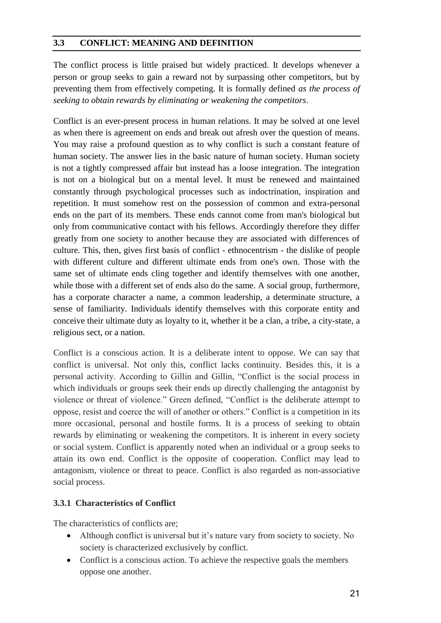#### **3.3 CONFLICT: MEANING AND DEFINITION**

The conflict process is little praised but widely practiced. It develops whenever a person or group seeks to gain a reward not by surpassing other competitors, but by preventing them from effectively competing. It is formally defined *as the process of seeking to obtain rewards by eliminating or weakening the competitors*.

Conflict is an ever-present process in human relations. It may be solved at one level as when there is agreement on ends and break out afresh over the question of means. You may raise a profound question as to why conflict is such a constant feature of human society. The answer lies in the basic nature of human society. Human society is not a tightly compressed affair but instead has a loose integration. The integration is not on a biological but on a mental level. It must be renewed and maintained constantly through psychological processes such as indoctrination, inspiration and repetition. It must somehow rest on the possession of common and extra-personal ends on the part of its members. These ends cannot come from man's biological but only from communicative contact with his fellows. Accordingly therefore they differ greatly from one society to another because they are associated with differences of culture. This, then, gives first basis of conflict - ethnocentrism - the dislike of people with different culture and different ultimate ends from one's own. Those with the same set of ultimate ends cling together and identify themselves with one another, while those with a different set of ends also do the same. A social group, furthermore, has a corporate character a name, a common leadership, a determinate structure, a sense of familiarity. Individuals identify themselves with this corporate entity and conceive their ultimate duty as loyalty to it, whether it be a clan, a tribe, a city-state, a religious sect, or a nation.

Conflict is a conscious action. It is a deliberate intent to oppose. We can say that conflict is universal. Not only this, conflict lacks continuity. Besides this, it is a personal activity. According to Gillin and Gillin, "Conflict is the social process in which individuals or groups seek their ends up directly challenging the antagonist by violence or threat of violence." Green defined, "Conflict is the deliberate attempt to oppose, resist and coerce the will of another or others." Conflict is a competition in its more occasional, personal and hostile forms. It is a process of seeking to obtain rewards by eliminating or weakening the competitors. It is inherent in every society or social system. Conflict is apparently noted when an individual or a group seeks to attain its own end. Conflict is the opposite of cooperation. Conflict may lead to antagonism, violence or threat to peace. Conflict is also regarded as non-associative social process.

#### **3.3.1 Characteristics of Conflict**

The characteristics of conflicts are;

- Although conflict is universal but it's nature vary from society to society. No society is characterized exclusively by conflict.
- Conflict is a conscious action. To achieve the respective goals the members oppose one another.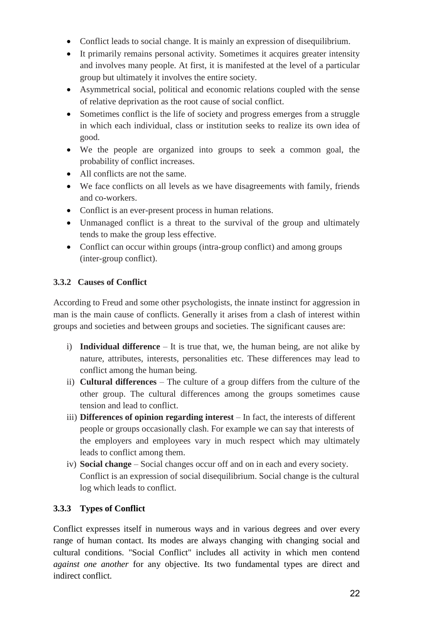- Conflict leads to social change. It is mainly an expression of disequilibrium.
- It primarily remains personal activity. Sometimes it acquires greater intensity and involves many people. At first, it is manifested at the level of a particular group but ultimately it involves the entire society.
- Asymmetrical social, political and economic relations coupled with the sense of relative deprivation as the root cause of social conflict.
- Sometimes conflict is the life of society and progress emerges from a struggle in which each individual, class or institution seeks to realize its own idea of good.
- We the people are organized into groups to seek a common goal, the probability of conflict increases.
- All conflicts are not the same.
- We face conflicts on all levels as we have disagreements with family, friends and co-workers.
- Conflict is an ever-present process in human relations.
- Unmanaged conflict is a threat to the survival of the group and ultimately tends to make the group less effective.
- Conflict can occur within groups (intra-group conflict) and among groups (inter-group conflict).

#### **3.3.2 Causes of Conflict**

According to Freud and some other psychologists, the innate instinct for aggression in man is the main cause of conflicts. Generally it arises from a clash of interest within groups and societies and between groups and societies. The significant causes are:

- i) **Individual difference** It is true that, we, the human being, are not alike by nature, attributes, interests, personalities etc. These differences may lead to conflict among the human being.
- ii) **Cultural differences** The culture of a group differs from the culture of the other group. The cultural differences among the groups sometimes cause tension and lead to conflict.
- iii) **Differences of opinion regarding interest** In fact, the interests of different people or groups occasionally clash. For example we can say that interests of the employers and employees vary in much respect which may ultimately leads to conflict among them.
- iv) **Social change** Social changes occur off and on in each and every society. Conflict is an expression of social disequilibrium. Social change is the cultural log which leads to conflict.

# **3.3.3 Types of Conflict**

Conflict expresses itself in numerous ways and in various degrees and over every range of human contact. Its modes are always changing with changing social and cultural conditions. "Social Conflict" includes all activity in which men contend *against one another* for any objective. Its two fundamental types are direct and indirect conflict.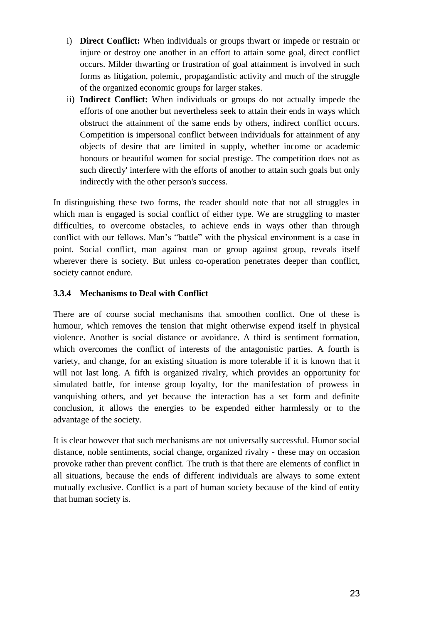- i) **Direct Conflict:** When individuals or groups thwart or impede or restrain or injure or destroy one another in an effort to attain some goal, direct conflict occurs. Milder thwarting or frustration of goal attainment is involved in such forms as litigation, polemic, propagandistic activity and much of the struggle of the organized economic groups for larger stakes.
- ii) **Indirect Conflict:** When individuals or groups do not actually impede the efforts of one another but nevertheless seek to attain their ends in ways which obstruct the attainment of the same ends by others, indirect conflict occurs. Competition is impersonal conflict between individuals for attainment of any objects of desire that are limited in supply, whether income or academic honours or beautiful women for social prestige. The competition does not as such directly' interfere with the efforts of another to attain such goals but only indirectly with the other person's success.

In distinguishing these two forms, the reader should note that not all struggles in which man is engaged is social conflict of either type. We are struggling to master difficulties, to overcome obstacles, to achieve ends in ways other than through conflict with our fellows. Man's "battle" with the physical environment is a case in point. Social conflict, man against man or group against group, reveals itself wherever there is society. But unless co-operation penetrates deeper than conflict, society cannot endure.

#### **3.3.4 Mechanisms to Deal with Conflict**

There are of course social mechanisms that smoothen conflict. One of these is humour, which removes the tension that might otherwise expend itself in physical violence. Another is social distance or avoidance. A third is sentiment formation, which overcomes the conflict of interests of the antagonistic parties. A fourth is variety, and change, for an existing situation is more tolerable if it is known that it will not last long. A fifth is organized rivalry, which provides an opportunity for simulated battle, for intense group loyalty, for the manifestation of prowess in vanquishing others, and yet because the interaction has a set form and definite conclusion, it allows the energies to be expended either harmlessly or to the advantage of the society.

It is clear however that such mechanisms are not universally successful. Humor social distance, noble sentiments, social change, organized rivalry - these may on occasion provoke rather than prevent conflict. The truth is that there are elements of conflict in all situations, because the ends of different individuals are always to some extent mutually exclusive. Conflict is a part of human society because of the kind of entity that human society is.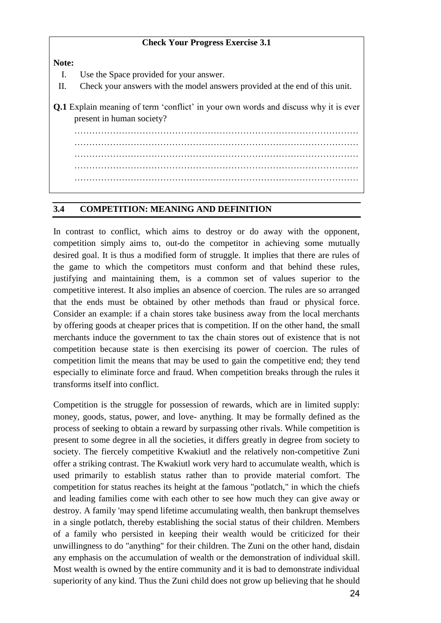#### **Check Your Progress Exercise 3.1**

**Note:**

- I. Use the Space provided for your answer.
- II. Check your answers with the model answers provided at the end of this unit.
- **Q.1** Explain meaning of term 'conflict' in your own words and discuss why it is ever present in human society?

…………………………………………………………………………………… ……………………………………………………………………………………

…………………………………………………………………………………… ……………………………………………………………………………………

……………………………………………………………………………………

#### **3.4 COMPETITION: MEANING AND DEFINITION**

In contrast to conflict, which aims to destroy or do away with the opponent, competition simply aims to, out-do the competitor in achieving some mutually desired goal. It is thus a modified form of struggle. It implies that there are rules of the game to which the competitors must conform and that behind these rules, justifying and maintaining them, is a common set of values superior to the competitive interest. It also implies an absence of coercion. The rules are so arranged that the ends must be obtained by other methods than fraud or physical force. Consider an example: if a chain stores take business away from the local merchants by offering goods at cheaper prices that is competition. If on the other hand, the small merchants induce the government to tax the chain stores out of existence that is not competition because state is then exercising its power of coercion. The rules of competition limit the means that may be used to gain the competitive end; they tend especially to eliminate force and fraud. When competition breaks through the rules it transforms itself into conflict.

Competition is the struggle for possession of rewards, which are in limited supply: money, goods, status, power, and love- anything. It may be formally defined as the process of seeking to obtain a reward by surpassing other rivals. While competition is present to some degree in all the societies, it differs greatly in degree from society to society. The fiercely competitive Kwakiutl and the relatively non-competitive Zuni offer a striking contrast. The Kwakiutl work very hard to accumulate wealth, which is used primarily to establish status rather than to provide material comfort. The competition for status reaches its height at the famous "potlatch," in which the chiefs and leading families come with each other to see how much they can give away or destroy. A family 'may spend lifetime accumulating wealth, then bankrupt themselves in a single potlatch, thereby establishing the social status of their children. Members of a family who persisted in keeping their wealth would be criticized for their unwillingness to do "anything" for their children. The Zuni on the other hand, disdain any emphasis on the accumulation of wealth or the demonstration of individual skill. Most wealth is owned by the entire community and it is bad to demonstrate individual superiority of any kind. Thus the Zuni child does not grow up believing that he should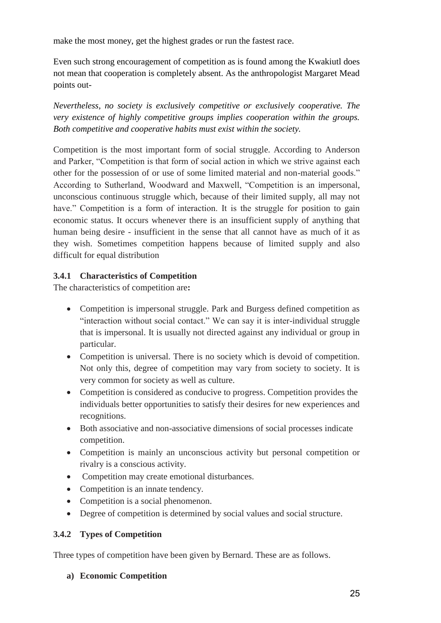make the most money, get the highest grades or run the fastest race.

Even such strong encouragement of competition as is found among the Kwakiutl does not mean that cooperation is completely absent. As the anthropologist Margaret Mead points out-

*Nevertheless, no society is exclusively competitive or exclusively cooperative. The very existence of highly competitive groups implies cooperation within the groups. Both competitive and cooperative habits must exist within the society.*

Competition is the most important form of social struggle. According to Anderson and Parker, "Competition is that form of social action in which we strive against each other for the possession of or use of some limited material and non-material goods." According to Sutherland, Woodward and Maxwell, "Competition is an impersonal, unconscious continuous struggle which, because of their limited supply, all may not have." Competition is a form of interaction. It is the struggle for position to gain economic status. It occurs whenever there is an insufficient supply of anything that human being desire - insufficient in the sense that all cannot have as much of it as they wish. Sometimes competition happens because of limited supply and also difficult for equal distribution

#### **3.4.1 Characteristics of Competition**

The characteristics of competition are**:** 

- Competition is impersonal struggle. Park and Burgess defined competition as "interaction without social contact." We can say it is inter-individual struggle that is impersonal. It is usually not directed against any individual or group in particular.
- Competition is universal. There is no society which is devoid of competition. Not only this, degree of competition may vary from society to society. It is very common for society as well as culture.
- Competition is considered as conducive to progress. Competition provides the individuals better opportunities to satisfy their desires for new experiences and recognitions.
- Both associative and non-associative dimensions of social processes indicate competition.
- Competition is mainly an unconscious activity but personal competition or rivalry is a conscious activity.
- Competition may create emotional disturbances.
- Competition is an innate tendency.
- Competition is a social phenomenon.
- Degree of competition is determined by social values and social structure.

#### **3.4.2 Types of Competition**

Three types of competition have been given by Bernard. These are as follows.

#### **a) Economic Competition**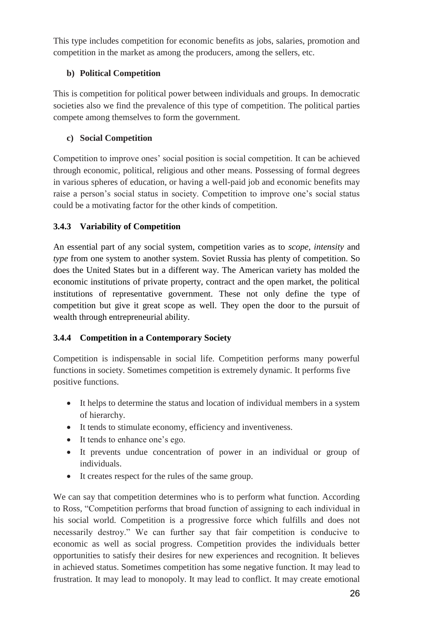This type includes competition for economic benefits as jobs, salaries, promotion and competition in the market as among the producers, among the sellers, etc.

### **b) Political Competition**

This is competition for political power between individuals and groups. In democratic societies also we find the prevalence of this type of competition. The political parties compete among themselves to form the government.

# **c) Social Competition**

Competition to improve ones' social position is social competition. It can be achieved through economic, political, religious and other means. Possessing of formal degrees in various spheres of education, or having a well-paid job and economic benefits may raise a person's social status in society. Competition to improve one's social status could be a motivating factor for the other kinds of competition.

# **3.4.3 Variability of Competition**

An essential part of any social system, competition varies as to *scope, intensity* and *type* from one system to another system. Soviet Russia has plenty of competition. So does the United States but in a different way. The American variety has molded the economic institutions of private property, contract and the open market, the political institutions of representative government. These not only define the type of competition but give it great scope as well. They open the door to the pursuit of wealth through entrepreneurial ability.

# **3.4.4 Competition in a Contemporary Society**

Competition is indispensable in social life. Competition performs many powerful functions in society. Sometimes competition is extremely dynamic. It performs five positive functions.

- It helps to determine the status and location of individual members in a system of hierarchy.
- It tends to stimulate economy, efficiency and inventiveness.
- It tends to enhance one's ego.
- It prevents undue concentration of power in an individual or group of individuals.
- It creates respect for the rules of the same group.

We can say that competition determines who is to perform what function. According to Ross, "Competition performs that broad function of assigning to each individual in his social world. Competition is a progressive force which fulfills and does not necessarily destroy." We can further say that fair competition is conducive to economic as well as social progress. Competition provides the individuals better opportunities to satisfy their desires for new experiences and recognition. It believes in achieved status. Sometimes competition has some negative function. It may lead to frustration. It may lead to monopoly. It may lead to conflict. It may create emotional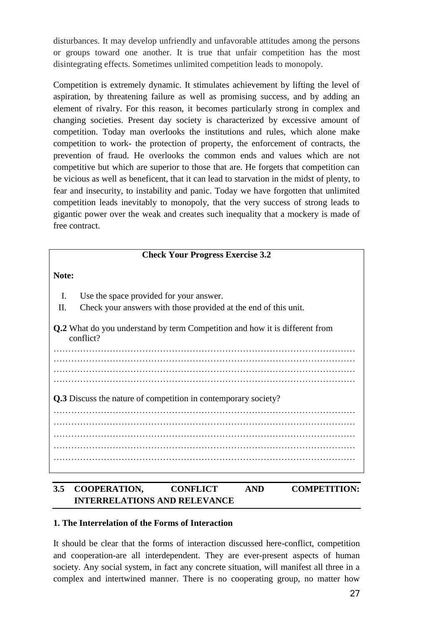disturbances. It may develop unfriendly and unfavorable attitudes among the persons or groups toward one another. It is true that unfair competition has the most disintegrating effects. Sometimes unlimited competition leads to monopoly.

Competition is extremely dynamic. It stimulates achievement by lifting the level of aspiration, by threatening failure as well as promising success, and by adding an element of rivalry. For this reason, it becomes particularly strong in complex and changing societies. Present day society is characterized by excessive amount of competition. Today man overlooks the institutions and rules, which alone make competition to work- the protection of property, the enforcement of contracts, the prevention of fraud. He overlooks the common ends and values which are not competitive but which are superior to those that are. He forgets that competition can be vicious as well as beneficent, that it can lead to starvation in the midst of plenty, to fear and insecurity, to instability and panic. Today we have forgotten that unlimited competition leads inevitably to monopoly, that the very success of strong leads to gigantic power over the weak and creates such inequality that a mockery is made of free contract.

| <b>Check Your Progress Exercise 3.2</b>                                                         |  |  |
|-------------------------------------------------------------------------------------------------|--|--|
| Note:                                                                                           |  |  |
| $\mathbf{I}$ .<br>Use the space provided for your answer.                                       |  |  |
| Check your answers with those provided at the end of this unit.<br>II.                          |  |  |
| <b>Q.2</b> What do you understand by term Competition and how it is different from<br>conflict? |  |  |
|                                                                                                 |  |  |
|                                                                                                 |  |  |
| Q.3 Discuss the nature of competition in contemporary society?                                  |  |  |
|                                                                                                 |  |  |
|                                                                                                 |  |  |
|                                                                                                 |  |  |
|                                                                                                 |  |  |

### **3.5 COOPERATION, CONFLICT AND COMPETITION: INTERRELATIONS AND RELEVANCE**

#### **1. The Interrelation of the Forms of Interaction**

It should be clear that the forms of interaction discussed here-conflict, competition and cooperation-are all interdependent. They are ever-present aspects of human society. Any social system, in fact any concrete situation, will manifest all three in a complex and intertwined manner. There is no cooperating group, no matter how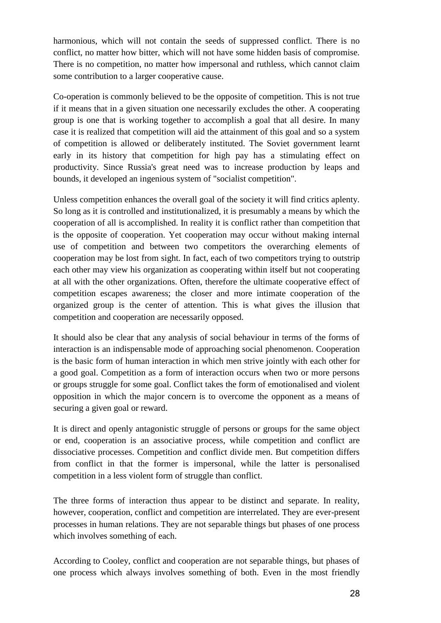harmonious, which will not contain the seeds of suppressed conflict. There is no conflict, no matter how bitter, which will not have some hidden basis of compromise. There is no competition, no matter how impersonal and ruthless, which cannot claim some contribution to a larger cooperative cause.

Co-operation is commonly believed to be the opposite of competition. This is not true if it means that in a given situation one necessarily excludes the other. A cooperating group is one that is working together to accomplish a goal that all desire. In many case it is realized that competition will aid the attainment of this goal and so a system of competition is allowed or deliberately instituted. The Soviet government learnt early in its history that competition for high pay has a stimulating effect on productivity. Since Russia's great need was to increase production by leaps and bounds, it developed an ingenious system of "socialist competition".

Unless competition enhances the overall goal of the society it will find critics aplenty. So long as it is controlled and institutionalized, it is presumably a means by which the cooperation of all is accomplished. In reality it is conflict rather than competition that is the opposite of cooperation. Yet cooperation may occur without making internal use of competition and between two competitors the overarching elements of cooperation may be lost from sight. In fact, each of two competitors trying to outstrip each other may view his organization as cooperating within itself but not cooperating at all with the other organizations. Often, therefore the ultimate cooperative effect of competition escapes awareness; the closer and more intimate cooperation of the organized group is the center of attention. This is what gives the illusion that competition and cooperation are necessarily opposed.

It should also be clear that any analysis of social behaviour in terms of the forms of interaction is an indispensable mode of approaching social phenomenon. Cooperation is the basic form of human interaction in which men strive jointly with each other for a good goal. Competition as a form of interaction occurs when two or more persons or groups struggle for some goal. Conflict takes the form of emotionalised and violent opposition in which the major concern is to overcome the opponent as a means of securing a given goal or reward.

It is direct and openly antagonistic struggle of persons or groups for the same object or end, cooperation is an associative process, while competition and conflict are dissociative processes. Competition and conflict divide men. But competition differs from conflict in that the former is impersonal, while the latter is personalised competition in a less violent form of struggle than conflict.

The three forms of interaction thus appear to be distinct and separate. In reality, however, cooperation, conflict and competition are interrelated. They are ever-present processes in human relations. They are not separable things but phases of one process which involves something of each.

According to Cooley, conflict and cooperation are not separable things, but phases of one process which always involves something of both. Even in the most friendly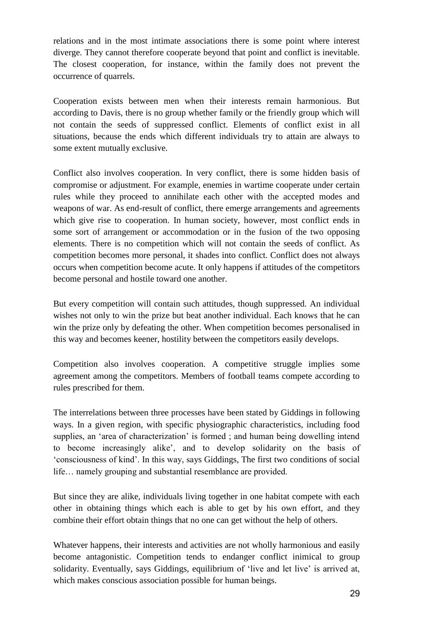relations and in the most intimate associations there is some point where interest diverge. They cannot therefore cooperate beyond that point and conflict is inevitable. The closest cooperation, for instance, within the family does not prevent the occurrence of quarrels.

Cooperation exists between men when their interests remain harmonious. But according to Davis, there is no group whether family or the friendly group which will not contain the seeds of suppressed conflict. Elements of conflict exist in all situations, because the ends which different individuals try to attain are always to some extent mutually exclusive.

Conflict also involves cooperation. In very conflict, there is some hidden basis of compromise or adjustment. For example, enemies in wartime cooperate under certain rules while they proceed to annihilate each other with the accepted modes and weapons of war. As end-result of conflict, there emerge arrangements and agreements which give rise to cooperation. In human society, however, most conflict ends in some sort of arrangement or accommodation or in the fusion of the two opposing elements. There is no competition which will not contain the seeds of conflict. As competition becomes more personal, it shades into conflict. Conflict does not always occurs when competition become acute. It only happens if attitudes of the competitors become personal and hostile toward one another.

But every competition will contain such attitudes, though suppressed. An individual wishes not only to win the prize but beat another individual. Each knows that he can win the prize only by defeating the other. When competition becomes personalised in this way and becomes keener, hostility between the competitors easily develops.

Competition also involves cooperation. A competitive struggle implies some agreement among the competitors. Members of football teams compete according to rules prescribed for them.

The interrelations between three processes have been stated by Giddings in following ways. In a given region, with specific physiographic characteristics, including food supplies, an 'area of characterization' is formed ; and human being dowelling intend to become increasingly alike', and to develop solidarity on the basis of 'consciousness of kind'. In this way, says Giddings, The first two conditions of social life… namely grouping and substantial resemblance are provided.

But since they are alike, individuals living together in one habitat compete with each other in obtaining things which each is able to get by his own effort, and they combine their effort obtain things that no one can get without the help of others.

Whatever happens, their interests and activities are not wholly harmonious and easily become antagonistic. Competition tends to endanger conflict inimical to group solidarity. Eventually, says Giddings, equilibrium of 'live and let live' is arrived at, which makes conscious association possible for human beings.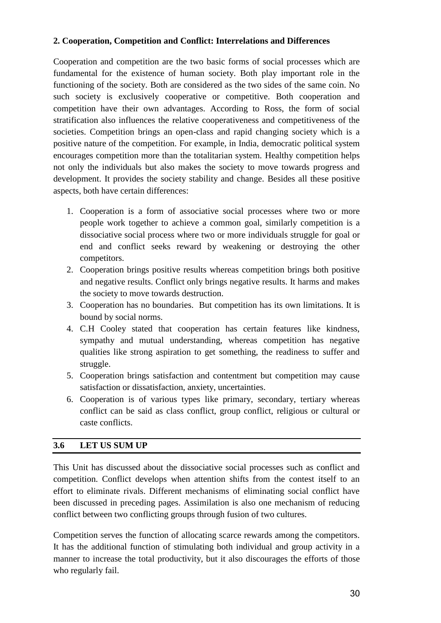#### **2. Cooperation, Competition and Conflict: Interrelations and Differences**

Cooperation and competition are the two basic forms of social processes which are fundamental for the existence of human society. Both play important role in the functioning of the society. Both are considered as the two sides of the same coin. No such society is exclusively cooperative or competitive. Both cooperation and competition have their own advantages. According to Ross, the form of social stratification also influences the relative cooperativeness and competitiveness of the societies. Competition brings an open-class and rapid changing society which is a positive nature of the competition. For example, in India, democratic political system encourages competition more than the totalitarian system. Healthy competition helps not only the individuals but also makes the society to move towards progress and development. It provides the society stability and change. Besides all these positive aspects, both have certain differences:

- 1. Cooperation is a form of associative social processes where two or more people work together to achieve a common goal, similarly competition is a dissociative social process where two or more individuals struggle for goal or end and conflict seeks reward by weakening or destroying the other competitors.
- 2. Cooperation brings positive results whereas competition brings both positive and negative results. Conflict only brings negative results. It harms and makes the society to move towards destruction.
- 3. Cooperation has no boundaries. But competition has its own limitations. It is bound by social norms.
- 4. C.H Cooley stated that cooperation has certain features like kindness, sympathy and mutual understanding, whereas competition has negative qualities like strong aspiration to get something, the readiness to suffer and struggle.
- 5. Cooperation brings satisfaction and contentment but competition may cause satisfaction or dissatisfaction, anxiety, uncertainties.
- 6. Cooperation is of various types like primary, secondary, tertiary whereas conflict can be said as class conflict, group conflict, religious or cultural or caste conflicts.

#### **3.6 LET US SUM UP**

This Unit has discussed about the dissociative social processes such as conflict and competition. Conflict develops when attention shifts from the contest itself to an effort to eliminate rivals. Different mechanisms of eliminating social conflict have been discussed in preceding pages. Assimilation is also one mechanism of reducing conflict between two conflicting groups through fusion of two cultures.

Competition serves the function of allocating scarce rewards among the competitors. It has the additional function of stimulating both individual and group activity in a manner to increase the total productivity, but it also discourages the efforts of those who regularly fail.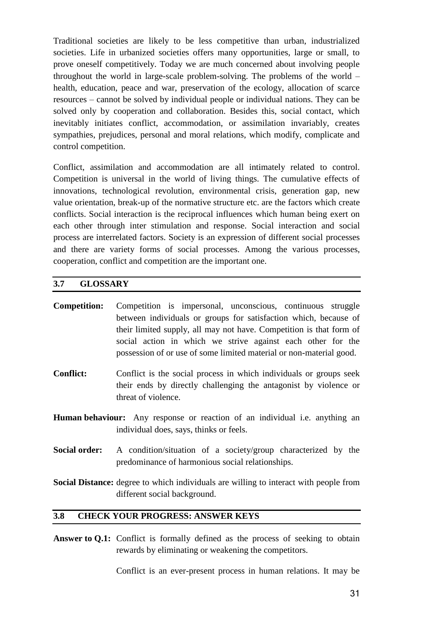Traditional societies are likely to be less competitive than urban, industrialized societies. Life in urbanized societies offers many opportunities, large or small, to prove oneself competitively. Today we are much concerned about involving people throughout the world in large-scale problem-solving. The problems of the world – health, education, peace and war, preservation of the ecology, allocation of scarce resources – cannot be solved by individual people or individual nations. They can be solved only by cooperation and collaboration. Besides this, social contact, which inevitably initiates conflict, accommodation, or assimilation invariably, creates sympathies, prejudices, personal and moral relations, which modify, complicate and control competition.

Conflict, assimilation and accommodation are all intimately related to control. Competition is universal in the world of living things. The cumulative effects of innovations, technological revolution, environmental crisis, generation gap, new value orientation, break-up of the normative structure etc. are the factors which create conflicts. Social interaction is the reciprocal influences which human being exert on each other through inter stimulation and response. Social interaction and social process are interrelated factors. Society is an expression of different social processes and there are variety forms of social processes. Among the various processes, cooperation, conflict and competition are the important one.

#### **3.7 GLOSSARY**

- **Competition:** Competition is impersonal, unconscious, continuous struggle between individuals or groups for satisfaction which, because of their limited supply, all may not have. Competition is that form of social action in which we strive against each other for the possession of or use of some limited material or non-material good.
- **Conflict:** Conflict is the social process in which individuals or groups seek their ends by directly challenging the antagonist by violence or threat of violence.
- **Human behaviour:** Any response or reaction of an individual i.e. anything an individual does, says, thinks or feels.
- **Social order:** A condition/situation of a society/group characterized by the predominance of harmonious social relationships.

**Social Distance:** degree to which individuals are willing to interact with people from different social background.

#### **3.8 CHECK YOUR PROGRESS: ANSWER KEYS**

Answer to Q.1: Conflict is formally defined as the process of seeking to obtain rewards by eliminating or weakening the competitors.

Conflict is an ever-present process in human relations. It may be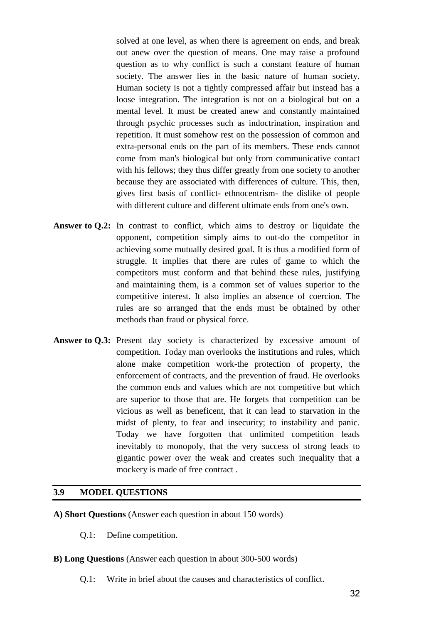solved at one level, as when there is agreement on ends, and break out anew over the question of means. One may raise a profound question as to why conflict is such a constant feature of human society. The answer lies in the basic nature of human society. Human society is not a tightly compressed affair but instead has a loose integration. The integration is not on a biological but on a mental level. It must be created anew and constantly maintained through psychic processes such as indoctrination, inspiration and repetition. It must somehow rest on the possession of common and extra-personal ends on the part of its members. These ends cannot come from man's biological but only from communicative contact with his fellows; they thus differ greatly from one society to another because they are associated with differences of culture. This, then, gives first basis of conflict- ethnocentrism- the dislike of people with different culture and different ultimate ends from one's own.

- Answer to  $Q.2$ : In contrast to conflict, which aims to destroy or liquidate the opponent, competition simply aims to out-do the competitor in achieving some mutually desired goal. It is thus a modified form of struggle. It implies that there are rules of game to which the competitors must conform and that behind these rules, justifying and maintaining them, is a common set of values superior to the competitive interest. It also implies an absence of coercion. The rules are so arranged that the ends must be obtained by other methods than fraud or physical force.
- Answer to Q.3: Present day society is characterized by excessive amount of competition. Today man overlooks the institutions and rules, which alone make competition work-the protection of property, the enforcement of contracts, and the prevention of fraud. He overlooks the common ends and values which are not competitive but which are superior to those that are. He forgets that competition can be vicious as well as beneficent, that it can lead to starvation in the midst of plenty, to fear and insecurity; to instability and panic. Today we have forgotten that unlimited competition leads inevitably to monopoly, that the very success of strong leads to gigantic power over the weak and creates such inequality that a mockery is made of free contract .

#### **3.9 MODEL QUESTIONS**

- **A) Short Questions** (Answer each question in about 150 words)
	- Q.1: Define competition.
- **B) Long Questions** (Answer each question in about 300-500 words)
	- Q.1: Write in brief about the causes and characteristics of conflict.